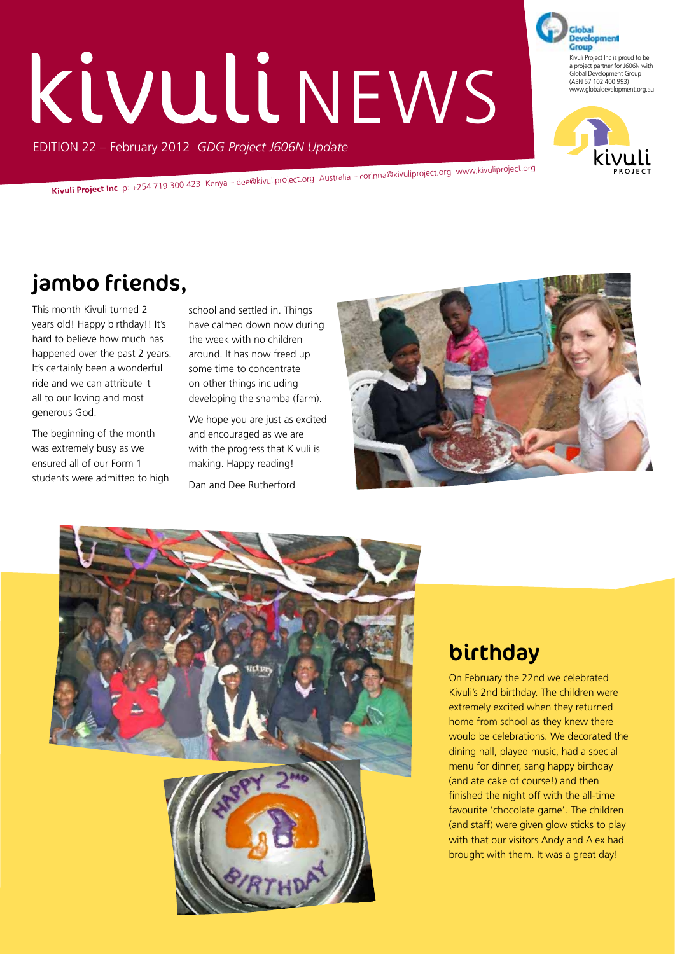# KIVULINEWS

EDITION 22 – February 2012 *GDG Project J606N Update*

**Kivuli Project Inc** p: +254 719 300 423 Kenya – dee@kivuliproject.org Australia – corinna@kivuliproject.org www.kivuliproject.org

# jambo friends,

This month Kivuli turned 2 years old! Happy birthday!! It's hard to believe how much has happened over the past 2 years. It's certainly been a wonderful ride and we can attribute it all to our loving and most generous God.

The beginning of the month was extremely busy as we ensured all of our Form 1 students were admitted to high school and settled in. Things have calmed down now during the week with no children around. It has now freed up some time to concentrate on other things including developing the shamba (farm).

We hope you are just as excited and encouraged as we are with the progress that Kivuli is making. Happy reading!

Dan and Dee Rutherford





# birthday

On February the 22nd we celebrated Kivuli's 2nd birthday. The children were extremely excited when they returned home from school as they knew there would be celebrations. We decorated the dining hall, played music, had a special menu for dinner, sang happy birthday (and ate cake of course!) and then finished the night off with the all-time favourite 'chocolate game'. The children (and staff) were given glow sticks to play with that our visitors Andy and Alex had brought with them. It was a great day!

**Development** Group Kivuli Project Inc is proud to be a project partner for J606N with Global Development Group (ABN 57 102 400 993) www.globaldevelopment.org.au

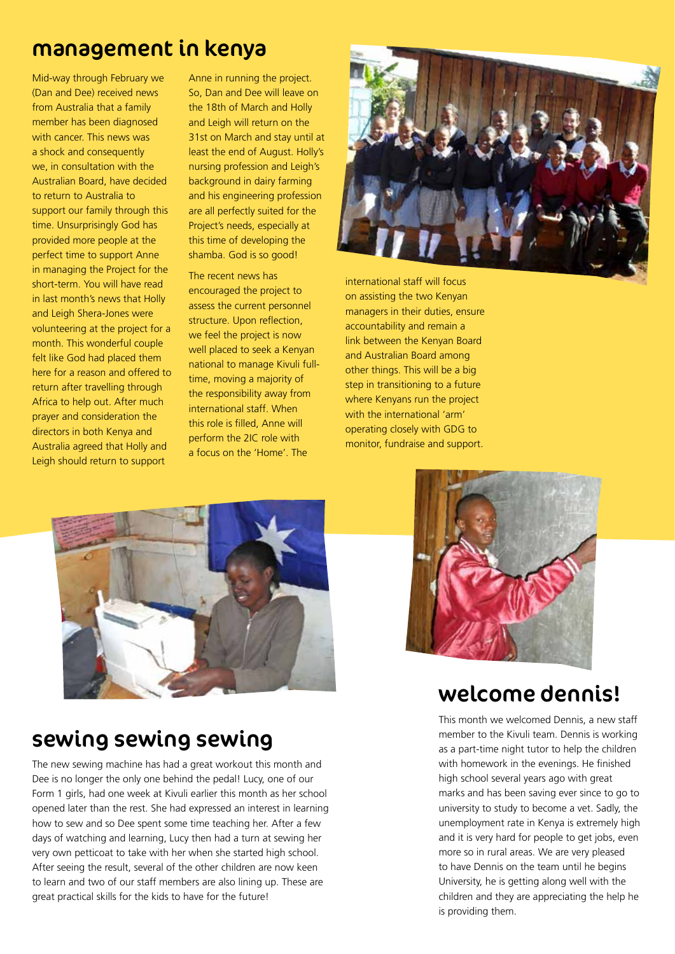#### management in kenya

Mid-way through February we (Dan and Dee) received news from Australia that a family member has been diagnosed with cancer. This news was a shock and consequently we, in consultation with the Australian Board, have decided to return to Australia to support our family through this time. Unsurprisingly God has provided more people at the perfect time to support Anne in managing the Project for the short-term. You will have read in last month's news that Holly and Leigh Shera-Jones were volunteering at the project for a month. This wonderful couple felt like God had placed them here for a reason and offered to return after travelling through Africa to help out. After much prayer and consideration the directors in both Kenya and Australia agreed that Holly and Leigh should return to support

Anne in running the project. So, Dan and Dee will leave on the 18th of March and Holly and Leigh will return on the 31st on March and stay until at least the end of August. Holly's nursing profession and Leigh's background in dairy farming and his engineering profession are all perfectly suited for the Project's needs, especially at this time of developing the shamba. God is so good!

The recent news has encouraged the project to assess the current personnel structure. Upon reflection, we feel the project is now well placed to seek a Kenyan national to manage Kivuli fulltime, moving a majority of the responsibility away from international staff. When this role is filled, Anne will perform the 2IC role with a focus on the 'Home'. The



international staff will focus on assisting the two Kenyan managers in their duties, ensure accountability and remain a link between the Kenyan Board and Australian Board among other things. This will be a big step in transitioning to a future where Kenyans run the project with the international 'arm' operating closely with GDG to monitor, fundraise and support.



#### sewing sewing sewing

The new sewing machine has had a great workout this month and Dee is no longer the only one behind the pedal! Lucy, one of our Form 1 girls, had one week at Kivuli earlier this month as her school opened later than the rest. She had expressed an interest in learning how to sew and so Dee spent some time teaching her. After a few days of watching and learning, Lucy then had a turn at sewing her very own petticoat to take with her when she started high school. After seeing the result, several of the other children are now keen to learn and two of our staff members are also lining up. These are great practical skills for the kids to have for the future!



#### welcome dennis!

This month we welcomed Dennis, a new staff member to the Kivuli team. Dennis is working as a part-time night tutor to help the children with homework in the evenings. He finished high school several years ago with great marks and has been saving ever since to go to university to study to become a vet. Sadly, the unemployment rate in Kenya is extremely high and it is very hard for people to get jobs, even more so in rural areas. We are very pleased to have Dennis on the team until he begins University, he is getting along well with the children and they are appreciating the help he is providing them.